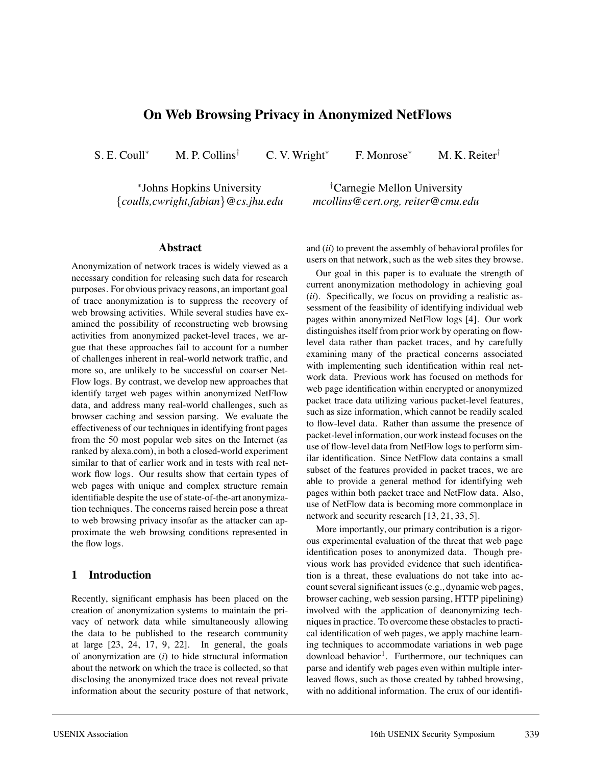# **On Web Browsing Privacy in Anonymized NetFlows**

S. E. Coull<sup>∗</sup> M. P. Collins<sup>†</sup> C. V. Wright<sup>∗</sup> F. Monrose<sup>∗</sup> M. K. Reiter<sup>†</sup>

<sup>∗</sup>Johns Hopkins University {*coulls,cwright,fabian*}*@cs.jhu.edu*

†Carnegie Mellon University *mcollins@cert.org, reiter@cmu.edu*

#### **Abstract**

Anonymization of network traces is widely viewed as a necessary condition for releasing such data for research purposes. For obvious privacy reasons, an important goal of trace anonymization is to suppress the recovery of web browsing activities. While several studies have examined the possibility of reconstructing web browsing activities from anonymized packet-level traces, we argue that these approaches fail to account for a number of challenges inherent in real-world network traffic, and more so, are unlikely to be successful on coarser Net-Flow logs. By contrast, we develop new approaches that identify target web pages within anonymized NetFlow data, and address many real-world challenges, such as browser caching and session parsing. We evaluate the effectiveness of our techniques in identifying front pages from the 50 most popular web sites on the Internet (as ranked by alexa.com), in both a closed-world experiment similar to that of earlier work and in tests with real network flow logs. Our results show that certain types of web pages with unique and complex structure remain identifiable despite the use of state-of-the-art anonymization techniques. The concerns raised herein pose a threat to web browsing privacy insofar as the attacker can approximate the web browsing conditions represented in the flow logs.

### **1 Introduction**

Recently, significant emphasis has been placed on the creation of anonymization systems to maintain the privacy of network data while simultaneously allowing the data to be published to the research community at large [23, 24, 17, 9, 22]. In general, the goals of anonymization are (*i*) to hide structural information about the network on which the trace is collected, so that disclosing the anonymized trace does not reveal private information about the security posture of that network,

and (*ii*) to prevent the assembly of behavioral profiles for users on that network, such as the web sites they browse.

Our goal in this paper is to evaluate the strength of current anonymization methodology in achieving goal (*ii*). Specifically, we focus on providing a realistic assessment of the feasibility of identifying individual web pages within anonymized NetFlow logs [4]. Our work distinguishes itself from prior work by operating on flowlevel data rather than packet traces, and by carefully examining many of the practical concerns associated with implementing such identification within real network data. Previous work has focused on methods for web page identification within encrypted or anonymized packet trace data utilizing various packet-level features, such as size information, which cannot be readily scaled to flow-level data. Rather than assume the presence of packet-level information, our work instead focuses on the use of flow-level data from NetFlow logs to perform similar identification. Since NetFlow data contains a small subset of the features provided in packet traces, we are able to provide a general method for identifying web pages within both packet trace and NetFlow data. Also, use of NetFlow data is becoming more commonplace in network and security research [13, 21, 33, 5].

More importantly, our primary contribution is a rigorous experimental evaluation of the threat that web page identification poses to anonymized data. Though previous work has provided evidence that such identification is a threat, these evaluations do not take into account several significant issues (e.g., dynamic web pages, browser caching, web session parsing, HTTP pipelining) involved with the application of deanonymizing techniques in practice. To overcome these obstacles to practical identification of web pages, we apply machine learning techniques to accommodate variations in web page  $d$ ownload behavior<sup>1</sup>. Furthermore, our techniques can parse and identify web pages even within multiple interleaved flows, such as those created by tabbed browsing, with no additional information. The crux of our identifi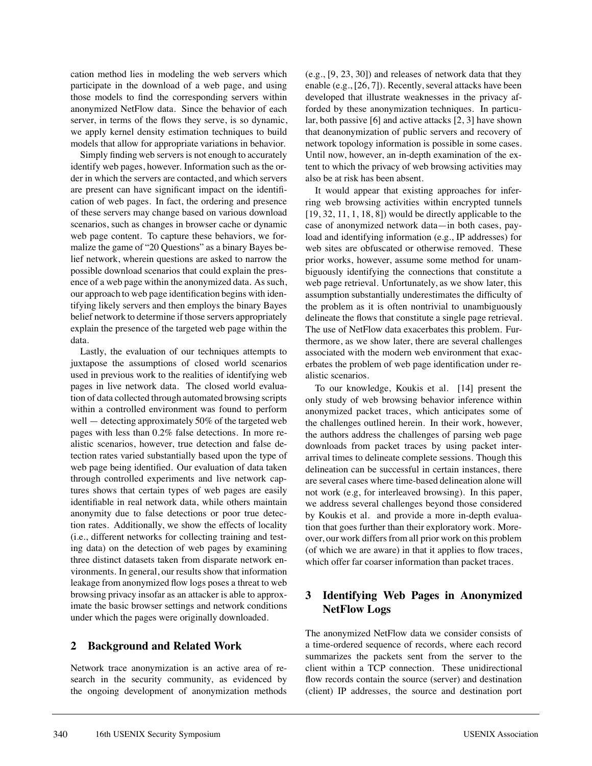cation method lies in modeling the web servers which participate in the download of a web page, and using those models to find the corresponding servers within anonymized NetFlow data. Since the behavior of each server, in terms of the flows they serve, is so dynamic, we apply kernel density estimation techniques to build models that allow for appropriate variations in behavior.

Simply finding web servers is not enough to accurately identify web pages, however. Information such as the order in which the servers are contacted, and which servers are present can have significant impact on the identification of web pages. In fact, the ordering and presence of these servers may change based on various download scenarios, such as changes in browser cache or dynamic web page content. To capture these behaviors, we formalize the game of "20 Questions" as a binary Bayes belief network, wherein questions are asked to narrow the possible download scenarios that could explain the presence of a web page within the anonymized data. As such, our approach to web page identification begins with identifying likely servers and then employs the binary Bayes belief network to determine if those servers appropriately explain the presence of the targeted web page within the data.

Lastly, the evaluation of our techniques attempts to juxtapose the assumptions of closed world scenarios used in previous work to the realities of identifying web pages in live network data. The closed world evaluation of data collected through automated browsing scripts within a controlled environment was found to perform well — detecting approximately 50% of the targeted web pages with less than 0.2% false detections. In more realistic scenarios, however, true detection and false detection rates varied substantially based upon the type of web page being identified. Our evaluation of data taken through controlled experiments and live network captures shows that certain types of web pages are easily identifiable in real network data, while others maintain anonymity due to false detections or poor true detection rates. Additionally, we show the effects of locality (i.e., different networks for collecting training and testing data) on the detection of web pages by examining three distinct datasets taken from disparate network environments. In general, our results show that information leakage from anonymized flow logs poses a threat to web browsing privacy insofar as an attacker is able to approximate the basic browser settings and network conditions under which the pages were originally downloaded.

## **2 Background and Related Work**

Network trace anonymization is an active area of research in the security community, as evidenced by the ongoing development of anonymization methods (e.g., [9, 23, 30]) and releases of network data that they enable (e.g., [26, 7]). Recently, several attacks have been developed that illustrate weaknesses in the privacy afforded by these anonymization techniques. In particular, both passive [6] and active attacks [2, 3] have shown that deanonymization of public servers and recovery of network topology information is possible in some cases. Until now, however, an in-depth examination of the extent to which the privacy of web browsing activities may also be at risk has been absent.

It would appear that existing approaches for inferring web browsing activities within encrypted tunnels  $[19, 32, 11, 1, 18, 8]$  would be directly applicable to the case of anonymized network data—in both cases, payload and identifying information (e.g., IP addresses) for web sites are obfuscated or otherwise removed. These prior works, however, assume some method for unambiguously identifying the connections that constitute a web page retrieval. Unfortunately, as we show later, this assumption substantially underestimates the difficulty of the problem as it is often nontrivial to unambiguously delineate the flows that constitute a single page retrieval. The use of NetFlow data exacerbates this problem. Furthermore, as we show later, there are several challenges associated with the modern web environment that exacerbates the problem of web page identification under realistic scenarios.

To our knowledge, Koukis et al. [14] present the only study of web browsing behavior inference within anonymized packet traces, which anticipates some of the challenges outlined herein. In their work, however, the authors address the challenges of parsing web page downloads from packet traces by using packet interarrival times to delineate complete sessions. Though this delineation can be successful in certain instances, there are several cases where time-based delineation alone will not work (e.g, for interleaved browsing). In this paper, we address several challenges beyond those considered by Koukis et al. and provide a more in-depth evaluation that goes further than their exploratory work. Moreover, our work differs from all prior work on this problem (of which we are aware) in that it applies to flow traces, which offer far coarser information than packet traces.

# **3 Identifying Web Pages in Anonymized NetFlow Logs**

The anonymized NetFlow data we consider consists of a time-ordered sequence of records, where each record summarizes the packets sent from the server to the client within a TCP connection. These unidirectional flow records contain the source (server) and destination (client) IP addresses, the source and destination port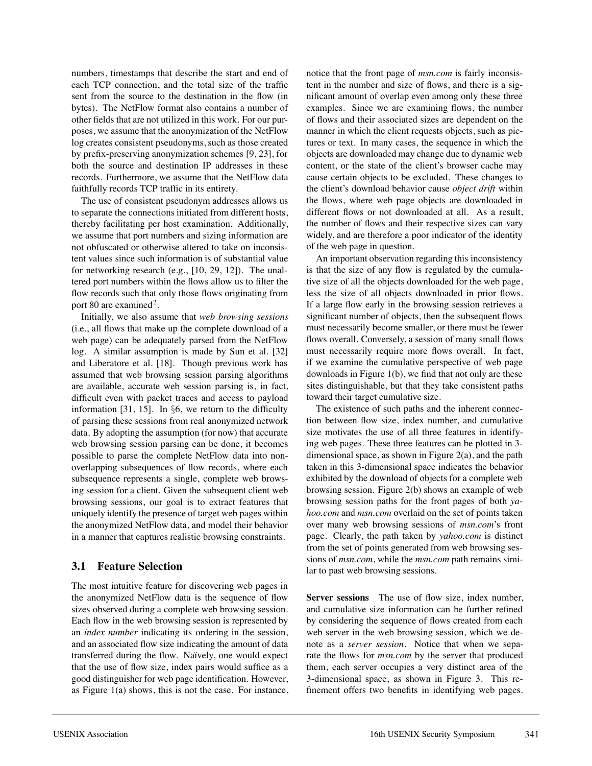numbers, timestamps that describe the start and end of each TCP connection, and the total size of the traffic sent from the source to the destination in the flow (in bytes). The NetFlow format also contains a number of other fields that are not utilized in this work. For our purposes, we assume that the anonymization of the NetFlow log creates consistent pseudonyms, such as those created by prefix-preserving anonymization schemes [9, 23], for both the source and destination IP addresses in these records. Furthermore, we assume that the NetFlow data faithfully records TCP traffic in its entirety.

The use of consistent pseudonym addresses allows us to separate the connections initiated from different hosts, thereby facilitating per host examination. Additionally, we assume that port numbers and sizing information are not obfuscated or otherwise altered to take on inconsistent values since such information is of substantial value for networking research (e.g., [10, 29, 12]). The unaltered port numbers within the flows allow us to filter the flow records such that only those flows originating from port 80 are examined<sup>2</sup>.

Initially, we also assume that *web browsing sessions* (i.e., all flows that make up the complete download of a web page) can be adequately parsed from the NetFlow log. A similar assumption is made by Sun et al. [32] and Liberatore et al. [18]. Though previous work has assumed that web browsing session parsing algorithms are available, accurate web session parsing is, in fact, difficult even with packet traces and access to payload information [31, 15]. In §6, we return to the difficulty of parsing these sessions from real anonymized network data. By adopting the assumption (for now) that accurate web browsing session parsing can be done, it becomes possible to parse the complete NetFlow data into nonoverlapping subsequences of flow records, where each subsequence represents a single, complete web browsing session for a client. Given the subsequent client web browsing sessions, our goal is to extract features that uniquely identify the presence of target web pages within the anonymized NetFlow data, and model their behavior in a manner that captures realistic browsing constraints.

# **3.1 Feature Selection**

The most intuitive feature for discovering web pages in the anonymized NetFlow data is the sequence of flow sizes observed during a complete web browsing session. Each flow in the web browsing session is represented by an *index number* indicating its ordering in the session, and an associated flow size indicating the amount of data transferred during the flow. Naïvely, one would expect that the use of flow size, index pairs would suffice as a good distinguisher for web page identification. However, as Figure 1(a) shows, this is not the case. For instance, notice that the front page of *msn.com* is fairly inconsistent in the number and size of flows, and there is a significant amount of overlap even among only these three examples. Since we are examining flows, the number of flows and their associated sizes are dependent on the manner in which the client requests objects, such as pictures or text. In many cases, the sequence in which the objects are downloaded may change due to dynamic web content, or the state of the client's browser cache may cause certain objects to be excluded. These changes to the client's download behavior cause *object drift* within the flows, where web page objects are downloaded in different flows or not downloaded at all. As a result, the number of flows and their respective sizes can vary widely, and are therefore a poor indicator of the identity of the web page in question.

An important observation regarding this inconsistency is that the size of any flow is regulated by the cumulative size of all the objects downloaded for the web page, less the size of all objects downloaded in prior flows. If a large flow early in the browsing session retrieves a significant number of objects, then the subsequent flows must necessarily become smaller, or there must be fewer flows overall. Conversely, a session of many small flows must necessarily require more flows overall. In fact, if we examine the cumulative perspective of web page downloads in Figure 1(b), we find that not only are these sites distinguishable, but that they take consistent paths toward their target cumulative size.

The existence of such paths and the inherent connection between flow size, index number, and cumulative size motivates the use of all three features in identifying web pages. These three features can be plotted in 3 dimensional space, as shown in Figure 2(a), and the path taken in this 3-dimensional space indicates the behavior exhibited by the download of objects for a complete web browsing session. Figure 2(b) shows an example of web browsing session paths for the front pages of both *yahoo.com* and *msn.com* overlaid on the set of points taken over many web browsing sessions of *msn.com*'s front page. Clearly, the path taken by *yahoo.com* is distinct from the set of points generated from web browsing sessions of *msn.com*, while the *msn.com* path remains similar to past web browsing sessions.

**Server sessions** The use of flow size, index number, and cumulative size information can be further refined by considering the sequence of flows created from each web server in the web browsing session, which we denote as a *server session*. Notice that when we separate the flows for *msn.com* by the server that produced them, each server occupies a very distinct area of the 3-dimensional space, as shown in Figure 3. This refinement offers two benefits in identifying web pages.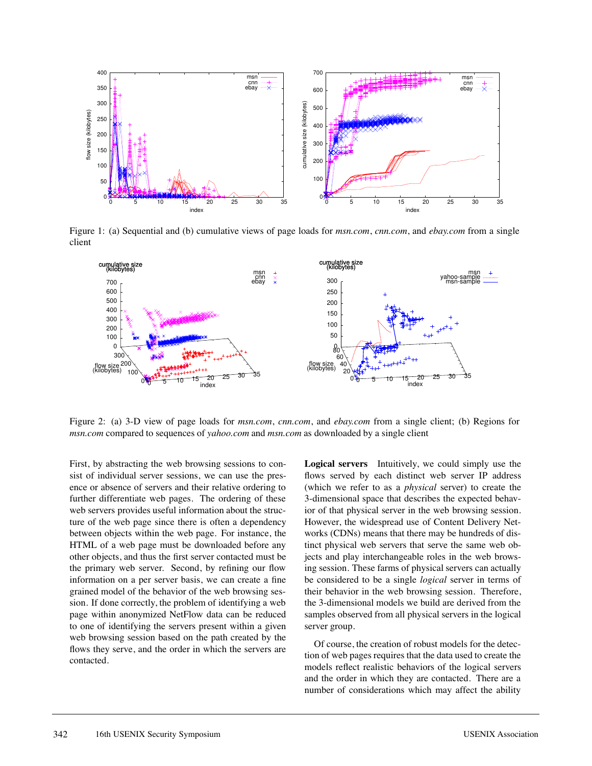

Figure 1: (a) Sequential and (b) cumulative views of page loads for *msn.com*, *cnn.com*, and *ebay.com* from a single client



Figure 2: (a) 3-D view of page loads for *msn.com*, *cnn.com*, and *ebay.com* from a single client; (b) Regions for *msn.com* compared to sequences of *yahoo.com* and *msn.com* as downloaded by a single client

First, by abstracting the web browsing sessions to consist of individual server sessions, we can use the presence or absence of servers and their relative ordering to further differentiate web pages. The ordering of these web servers provides useful information about the structure of the web page since there is often a dependency between objects within the web page. For instance, the HTML of a web page must be downloaded before any other objects, and thus the first server contacted must be the primary web server. Second, by refining our flow information on a per server basis, we can create a fine grained model of the behavior of the web browsing session. If done correctly, the problem of identifying a web page within anonymized NetFlow data can be reduced to one of identifying the servers present within a given web browsing session based on the path created by the flows they serve, and the order in which the servers are contacted.

**Logical servers** Intuitively, we could simply use the flows served by each distinct web server IP address (which we refer to as a *physical* server) to create the 3-dimensional space that describes the expected behavior of that physical server in the web browsing session. However, the widespread use of Content Delivery Networks (CDNs) means that there may be hundreds of distinct physical web servers that serve the same web objects and play interchangeable roles in the web browsing session. These farms of physical servers can actually be considered to be a single *logical* server in terms of their behavior in the web browsing session. Therefore, the 3-dimensional models we build are derived from the samples observed from all physical servers in the logical server group.

Of course, the creation of robust models for the detection of web pages requires that the data used to create the models reflect realistic behaviors of the logical servers and the order in which they are contacted. There are a number of considerations which may affect the ability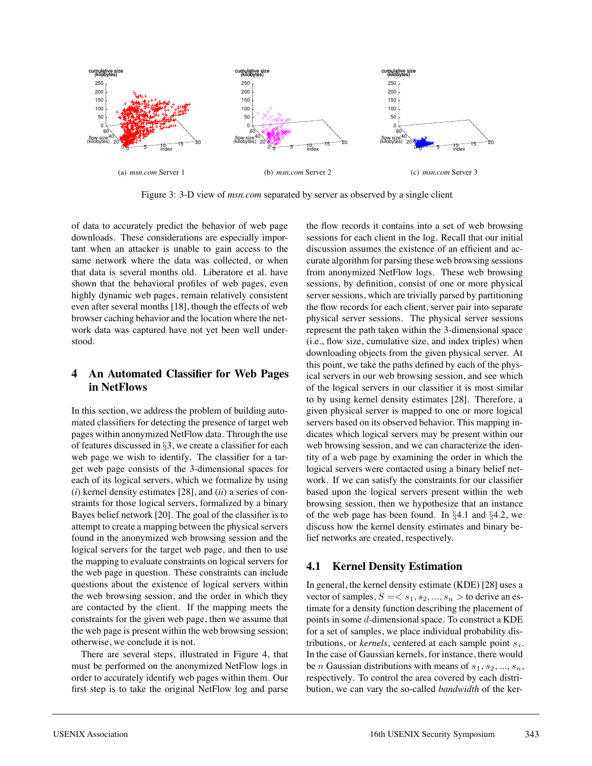

Figure 3: 3-D view of *msn.com* separated by server as observed by a single client

of data to accurately predict the behavior of web page downloads. These considerations are especially important when an attacker is unable to gain access to the same network where the data was collected, or when that data is several months old. Liberatore et al. have shown that the behavioral profiles of web pages, even highly dynamic web pages, remain relatively consistent even after several months [18], though the effects of web browser caching behavior and the location where the network data was captured have not yet been well understood.

# **4 An Automated Classifier for Web Pages in NetFlows**

In this section, we address the problem of building automated classifiers for detecting the presence of target web pages within anonymized NetFlow data. Through the use of features discussed in §3, we create a classifier for each web page we wish to identify. The classifier for a target web page consists of the 3-dimensional spaces for each of its logical servers, which we formalize by using (*i*) kernel density estimates [28], and (*ii*) a series of constraints for those logical servers, formalized by a binary Bayes belief network [20]. The goal of the classifier is to attempt to create a mapping between the physical servers found in the anonymized web browsing session and the logical servers for the target web page, and then to use the mapping to evaluate constraints on logical servers for the web page in question. These constraints can include questions about the existence of logical servers within the web browsing session, and the order in which they are contacted by the client. If the mapping meets the constraints for the given web page, then we assume that the web page is present within the web browsing session; otherwise, we conclude it is not.

There are several steps, illustrated in Figure 4, that must be performed on the anonymized NetFlow logs in order to accurately identify web pages within them. Our first step is to take the original NetFlow log and parse

the flow records it contains into a set of web browsing sessions for each client in the log. Recall that our initial discussion assumes the existence of an efficient and accurate algorithm for parsing these web browsing sessions from anonymized NetFlow logs. These web browsing sessions, by definition, consist of one or more physical server sessions, which are trivially parsed by partitioning the flow records for each client, server pair into separate physical server sessions. The physical server sessions represent the path taken within the 3-dimensional space (i.e., flow size, cumulative size, and index triples) when downloading objects from the given physical server. At this point, we take the paths defined by each of the physical servers in our web browsing session, and see which of the logical servers in our classifier it is most similar to by using kernel density estimates [28]. Therefore, a given physical server is mapped to one or more logical servers based on its observed behavior. This mapping indicates which logical servers may be present within our web browsing session, and we can characterize the identity of a web page by examining the order in which the logical servers were contacted using a binary belief network. If we can satisfy the constraints for our classifier based upon the logical servers present within the web browsing session, then we hypothesize that an instance of the web page has been found. In §4.1 and §4.2, we discuss how the kernel density estimates and binary belief networks are created, respectively.

# **4.1 Kernel Density Estimation**

In general, the kernel density estimate (KDE) [28] uses a vector of samples,  $S = \langle s_1, s_2, ..., s_n \rangle$  to derive an estimate for a density function describing the placement of points in some d-dimensional space. To construct a KDE for a set of samples, we place individual probability distributions, or *kernels*, centered at each sample point  $s_i$ . In the case of Gaussian kernels, for instance, there would be *n* Gaussian distributions with means of  $s_1, s_2, ..., s_n$ , respectively. To control the area covered by each distribution, we can vary the so-called *bandwidth* of the ker-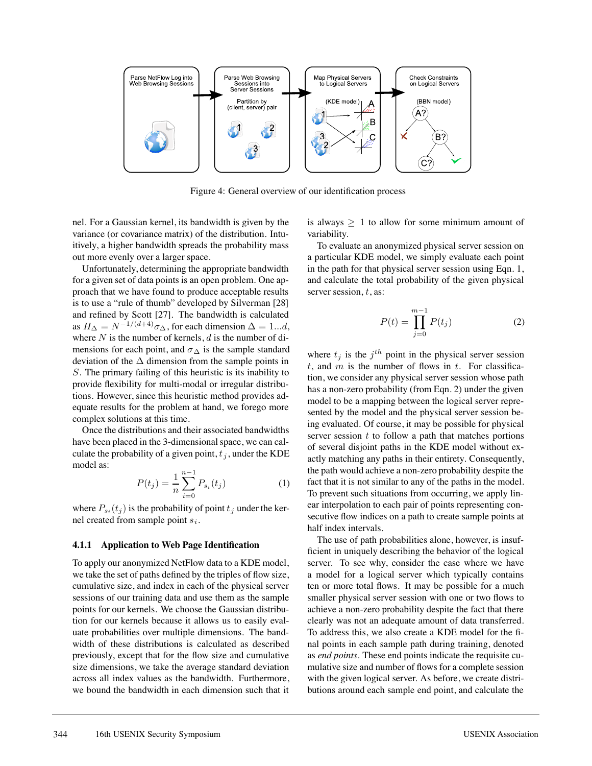

Figure 4: General overview of our identification process

nel. For a Gaussian kernel, its bandwidth is given by the variance (or covariance matrix) of the distribution. Intuitively, a higher bandwidth spreads the probability mass out more evenly over a larger space.

Unfortunately, determining the appropriate bandwidth for a given set of data points is an open problem. One approach that we have found to produce acceptable results is to use a "rule of thumb" developed by Silverman [28] and refined by Scott [27]. The bandwidth is calculated as  $H_{\Delta} = N^{-1/(d+4)} \sigma_{\Delta}$ , for each dimension  $\Delta = 1...d$ , where  $N$  is the number of kernels,  $d$  is the number of dimensions for each point, and  $\sigma_{\Delta}$  is the sample standard deviation of the  $\Delta$  dimension from the sample points in S. The primary failing of this heuristic is its inability to provide flexibility for multi-modal or irregular distributions. However, since this heuristic method provides adequate results for the problem at hand, we forego more complex solutions at this time.

Once the distributions and their associated bandwidths have been placed in the 3-dimensional space, we can calculate the probability of a given point,  $t_i$ , under the KDE model as:

$$
P(t_j) = \frac{1}{n} \sum_{i=0}^{n-1} P_{s_i}(t_j)
$$
 (1)

where  $P_{s_i}(t_j)$  is the probability of point  $t_j$  under the kernel created from sample point  $s_i$ .

#### **4.1.1 Application to Web Page Identification**

To apply our anonymized NetFlow data to a KDE model, we take the set of paths defined by the triples of flow size, cumulative size, and index in each of the physical server sessions of our training data and use them as the sample points for our kernels. We choose the Gaussian distribution for our kernels because it allows us to easily evaluate probabilities over multiple dimensions. The bandwidth of these distributions is calculated as described previously, except that for the flow size and cumulative size dimensions, we take the average standard deviation across all index values as the bandwidth. Furthermore, we bound the bandwidth in each dimension such that it is always  $\geq 1$  to allow for some minimum amount of variability.

To evaluate an anonymized physical server session on a particular KDE model, we simply evaluate each point in the path for that physical server session using Eqn. 1, and calculate the total probability of the given physical server session,  $t$ , as:

$$
P(t) = \prod_{j=0}^{m-1} P(t_j)
$$
 (2)

where  $t_j$  is the  $j<sup>th</sup>$  point in the physical server session  $t$ , and  $m$  is the number of flows in  $t$ . For classification, we consider any physical server session whose path has a non-zero probability (from Eqn. 2) under the given model to be a mapping between the logical server represented by the model and the physical server session being evaluated. Of course, it may be possible for physical server session  $t$  to follow a path that matches portions of several disjoint paths in the KDE model without exactly matching any paths in their entirety. Consequently, the path would achieve a non-zero probability despite the fact that it is not similar to any of the paths in the model. To prevent such situations from occurring, we apply linear interpolation to each pair of points representing consecutive flow indices on a path to create sample points at half index intervals.

The use of path probabilities alone, however, is insufficient in uniquely describing the behavior of the logical server. To see why, consider the case where we have a model for a logical server which typically contains ten or more total flows. It may be possible for a much smaller physical server session with one or two flows to achieve a non-zero probability despite the fact that there clearly was not an adequate amount of data transferred. To address this, we also create a KDE model for the final points in each sample path during training, denoted as *end points*. These end points indicate the requisite cumulative size and number of flows for a complete session with the given logical server. As before, we create distributions around each sample end point, and calculate the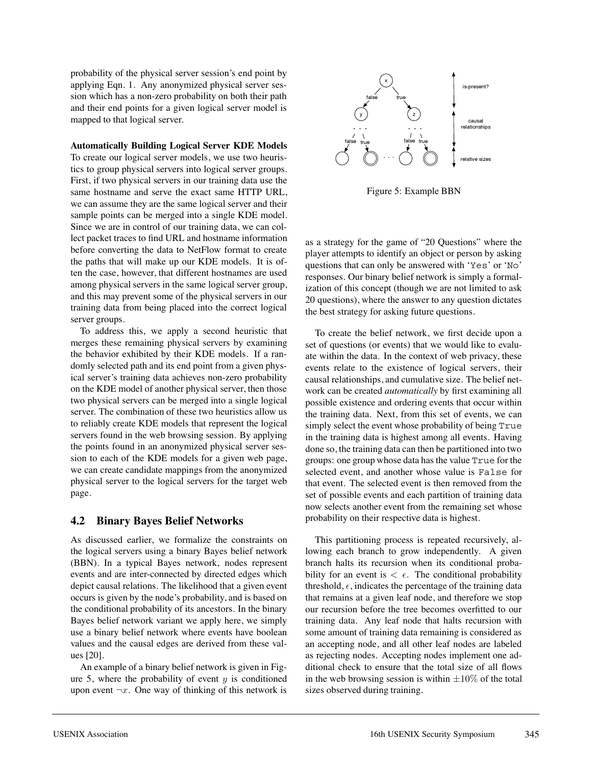probability of the physical server session's end point by applying Eqn. 1. Any anonymized physical server session which has a non-zero probability on both their path and their end points for a given logical server model is mapped to that logical server.

#### **Automatically Building Logical Server KDE Models**

To create our logical server models, we use two heuristics to group physical servers into logical server groups. First, if two physical servers in our training data use the same hostname and serve the exact same HTTP URL, we can assume they are the same logical server and their sample points can be merged into a single KDE model. Since we are in control of our training data, we can collect packet traces to find URL and hostname information before converting the data to NetFlow format to create the paths that will make up our KDE models. It is often the case, however, that different hostnames are used among physical servers in the same logical server group, and this may prevent some of the physical servers in our training data from being placed into the correct logical server groups.

To address this, we apply a second heuristic that merges these remaining physical servers by examining the behavior exhibited by their KDE models. If a randomly selected path and its end point from a given physical server's training data achieves non-zero probability on the KDE model of another physical server, then those two physical servers can be merged into a single logical server. The combination of these two heuristics allow us to reliably create KDE models that represent the logical servers found in the web browsing session. By applying the points found in an anonymized physical server session to each of the KDE models for a given web page, we can create candidate mappings from the anonymized physical server to the logical servers for the target web page.

## **4.2 Binary Bayes Belief Networks**

As discussed earlier, we formalize the constraints on the logical servers using a binary Bayes belief network (BBN). In a typical Bayes network, nodes represent events and are inter-connected by directed edges which depict causal relations. The likelihood that a given event occurs is given by the node's probability, and is based on the conditional probability of its ancestors. In the binary Bayes belief network variant we apply here, we simply use a binary belief network where events have boolean values and the causal edges are derived from these values [20].

An example of a binary belief network is given in Figure 5, where the probability of event  $y$  is conditioned upon event  $\neg x$ . One way of thinking of this network is



Figure 5: Example BBN

as a strategy for the game of "20 Questions" where the player attempts to identify an object or person by asking questions that can only be answered with 'Yes' or 'No' responses. Our binary belief network is simply a formalization of this concept (though we are not limited to ask 20 questions), where the answer to any question dictates the best strategy for asking future questions.

To create the belief network, we first decide upon a set of questions (or events) that we would like to evaluate within the data. In the context of web privacy, these events relate to the existence of logical servers, their causal relationships, and cumulative size. The belief network can be created *automatically* by first examining all possible existence and ordering events that occur within the training data. Next, from this set of events, we can simply select the event whose probability of being True in the training data is highest among all events. Having done so, the training data can then be partitioned into two groups: one group whose data has the value True for the selected event, and another whose value is False for that event. The selected event is then removed from the set of possible events and each partition of training data now selects another event from the remaining set whose probability on their respective data is highest.

This partitioning process is repeated recursively, allowing each branch to grow independently. A given branch halts its recursion when its conditional probability for an event is  $\langle \epsilon \rangle$ . The conditional probability threshold,  $\epsilon$ , indicates the percentage of the training data that remains at a given leaf node, and therefore we stop our recursion before the tree becomes overfitted to our training data. Any leaf node that halts recursion with some amount of training data remaining is considered as an accepting node, and all other leaf nodes are labeled as rejecting nodes. Accepting nodes implement one additional check to ensure that the total size of all flows in the web browsing session is within  $\pm 10\%$  of the total sizes observed during training.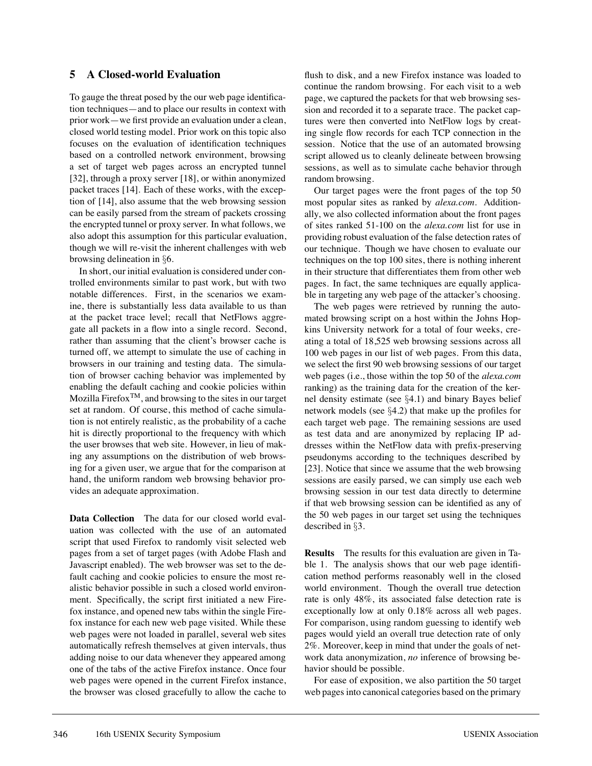## **5 A Closed-world Evaluation**

To gauge the threat posed by the our web page identification techniques—and to place our results in context with prior work—we first provide an evaluation under a clean, closed world testing model. Prior work on this topic also focuses on the evaluation of identification techniques based on a controlled network environment, browsing a set of target web pages across an encrypted tunnel [32], through a proxy server [18], or within anonymized packet traces [14]. Each of these works, with the exception of [14], also assume that the web browsing session can be easily parsed from the stream of packets crossing the encrypted tunnel or proxy server. In what follows, we also adopt this assumption for this particular evaluation, though we will re-visit the inherent challenges with web browsing delineation in §6.

In short, our initial evaluation is considered under controlled environments similar to past work, but with two notable differences. First, in the scenarios we examine, there is substantially less data available to us than at the packet trace level; recall that NetFlows aggregate all packets in a flow into a single record. Second, rather than assuming that the client's browser cache is turned off, we attempt to simulate the use of caching in browsers in our training and testing data. The simulation of browser caching behavior was implemented by enabling the default caching and cookie policies within Mozilla FirefoxTM, and browsing to the sites in our target set at random. Of course, this method of cache simulation is not entirely realistic, as the probability of a cache hit is directly proportional to the frequency with which the user browses that web site. However, in lieu of making any assumptions on the distribution of web browsing for a given user, we argue that for the comparison at hand, the uniform random web browsing behavior provides an adequate approximation.

**Data Collection** The data for our closed world evaluation was collected with the use of an automated script that used Firefox to randomly visit selected web pages from a set of target pages (with Adobe Flash and Javascript enabled). The web browser was set to the default caching and cookie policies to ensure the most realistic behavior possible in such a closed world environment. Specifically, the script first initiated a new Firefox instance, and opened new tabs within the single Firefox instance for each new web page visited. While these web pages were not loaded in parallel, several web sites automatically refresh themselves at given intervals, thus adding noise to our data whenever they appeared among one of the tabs of the active Firefox instance. Once four web pages were opened in the current Firefox instance, the browser was closed gracefully to allow the cache to

flush to disk, and a new Firefox instance was loaded to continue the random browsing. For each visit to a web page, we captured the packets for that web browsing session and recorded it to a separate trace. The packet captures were then converted into NetFlow logs by creating single flow records for each TCP connection in the session. Notice that the use of an automated browsing script allowed us to cleanly delineate between browsing sessions, as well as to simulate cache behavior through random browsing.

Our target pages were the front pages of the top 50 most popular sites as ranked by *alexa.com*. Additionally, we also collected information about the front pages of sites ranked 51-100 on the *alexa.com* list for use in providing robust evaluation of the false detection rates of our technique. Though we have chosen to evaluate our techniques on the top 100 sites, there is nothing inherent in their structure that differentiates them from other web pages. In fact, the same techniques are equally applicable in targeting any web page of the attacker's choosing.

The web pages were retrieved by running the automated browsing script on a host within the Johns Hopkins University network for a total of four weeks, creating a total of 18,525 web browsing sessions across all 100 web pages in our list of web pages. From this data, we select the first 90 web browsing sessions of our target web pages (i.e., those within the top 50 of the *alexa.com* ranking) as the training data for the creation of the kernel density estimate (see §4.1) and binary Bayes belief network models (see §4.2) that make up the profiles for each target web page. The remaining sessions are used as test data and are anonymized by replacing IP addresses within the NetFlow data with prefix-preserving pseudonyms according to the techniques described by [23]. Notice that since we assume that the web browsing sessions are easily parsed, we can simply use each web browsing session in our test data directly to determine if that web browsing session can be identified as any of the 50 web pages in our target set using the techniques described in §3.

**Results** The results for this evaluation are given in Table 1. The analysis shows that our web page identification method performs reasonably well in the closed world environment. Though the overall true detection rate is only 48%, its associated false detection rate is exceptionally low at only 0.18% across all web pages. For comparison, using random guessing to identify web pages would yield an overall true detection rate of only 2%. Moreover, keep in mind that under the goals of network data anonymization, *no* inference of browsing behavior should be possible.

For ease of exposition, we also partition the 50 target web pages into canonical categories based on the primary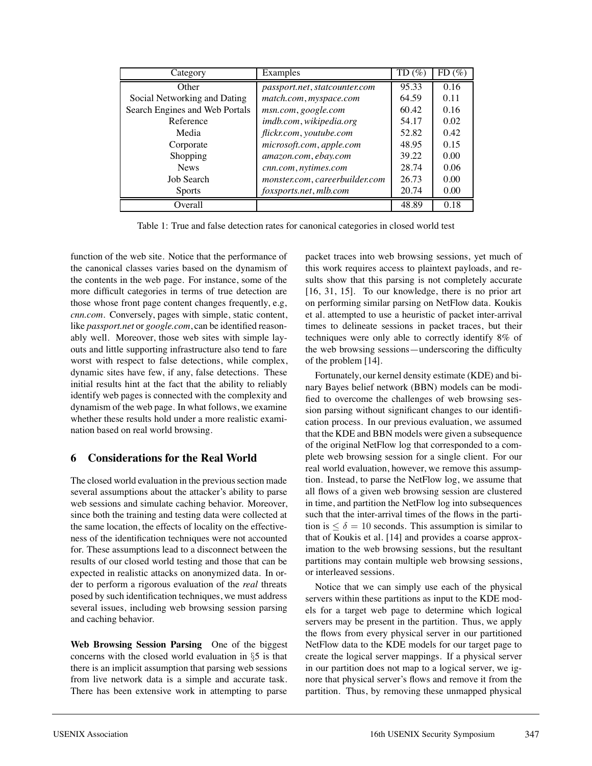| Category                       | Examples                       | $TD(\%)$ | $FD$ (%) |
|--------------------------------|--------------------------------|----------|----------|
| Other                          | passport.net, statcounter.com  | 95.33    | 0.16     |
| Social Networking and Dating   | match.com, myspace.com         | 64.59    | 0.11     |
| Search Engines and Web Portals | msn.com, google.com            | 60.42    | 0.16     |
| Reference                      | imdb.com, wikipedia.org        | 54.17    | 0.02     |
| Media                          | flickr.com, youtube.com        | 52.82    | 0.42     |
| Corporate                      | microsoft.com, apple.com       | 48.95    | 0.15     |
| Shopping                       | amazon.com, ebay.com           | 39.22    | 0.00     |
| <b>News</b>                    | cnn.com, nytimes.com           | 28.74    | 0.06     |
| Job Search                     | monster.com, careerbuilder.com | 26.73    | 0.00     |
| <b>Sports</b>                  | foxsports.net, mlb.com         | 20.74    | 0.00     |
| Overall                        |                                | 48.89    | 0.18     |

Table 1: True and false detection rates for canonical categories in closed world test

function of the web site. Notice that the performance of the canonical classes varies based on the dynamism of the contents in the web page. For instance, some of the more difficult categories in terms of true detection are those whose front page content changes frequently, e.g, *cnn.com*. Conversely, pages with simple, static content, like *passport.net* or *google.com*, can be identified reasonably well. Moreover, those web sites with simple layouts and little supporting infrastructure also tend to fare worst with respect to false detections, while complex, dynamic sites have few, if any, false detections. These initial results hint at the fact that the ability to reliably identify web pages is connected with the complexity and dynamism of the web page. In what follows, we examine whether these results hold under a more realistic examination based on real world browsing.

## **6 Considerations for the Real World**

The closed world evaluation in the previous section made several assumptions about the attacker's ability to parse web sessions and simulate caching behavior. Moreover, since both the training and testing data were collected at the same location, the effects of locality on the effectiveness of the identification techniques were not accounted for. These assumptions lead to a disconnect between the results of our closed world testing and those that can be expected in realistic attacks on anonymized data. In order to perform a rigorous evaluation of the *real* threats posed by such identification techniques, we must address several issues, including web browsing session parsing and caching behavior.

**Web Browsing Session Parsing** One of the biggest concerns with the closed world evaluation in §5 is that there is an implicit assumption that parsing web sessions from live network data is a simple and accurate task. There has been extensive work in attempting to parse packet traces into web browsing sessions, yet much of this work requires access to plaintext payloads, and results show that this parsing is not completely accurate [16, 31, 15]. To our knowledge, there is no prior art on performing similar parsing on NetFlow data. Koukis et al. attempted to use a heuristic of packet inter-arrival times to delineate sessions in packet traces, but their techniques were only able to correctly identify 8% of the web browsing sessions—underscoring the difficulty of the problem [14].

Fortunately, our kernel density estimate (KDE) and binary Bayes belief network (BBN) models can be modified to overcome the challenges of web browsing session parsing without significant changes to our identification process. In our previous evaluation, we assumed that the KDE and BBN models were given a subsequence of the original NetFlow log that corresponded to a complete web browsing session for a single client. For our real world evaluation, however, we remove this assumption. Instead, to parse the NetFlow log, we assume that all flows of a given web browsing session are clustered in time, and partition the NetFlow log into subsequences such that the inter-arrival times of the flows in the partition is  $\leq \delta = 10$  seconds. This assumption is similar to that of Koukis et al. [14] and provides a coarse approximation to the web browsing sessions, but the resultant partitions may contain multiple web browsing sessions, or interleaved sessions.

Notice that we can simply use each of the physical servers within these partitions as input to the KDE models for a target web page to determine which logical servers may be present in the partition. Thus, we apply the flows from every physical server in our partitioned NetFlow data to the KDE models for our target page to create the logical server mappings. If a physical server in our partition does not map to a logical server, we ignore that physical server's flows and remove it from the partition. Thus, by removing these unmapped physical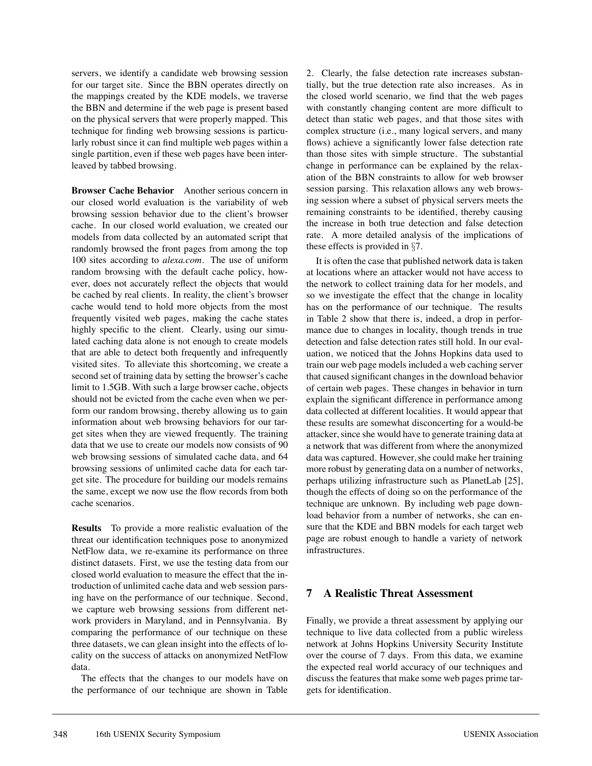servers, we identify a candidate web browsing session for our target site. Since the BBN operates directly on the mappings created by the KDE models, we traverse the BBN and determine if the web page is present based on the physical servers that were properly mapped. This technique for finding web browsing sessions is particularly robust since it can find multiple web pages within a single partition, even if these web pages have been interleaved by tabbed browsing.

**Browser Cache Behavior** Another serious concern in our closed world evaluation is the variability of web browsing session behavior due to the client's browser cache. In our closed world evaluation, we created our models from data collected by an automated script that randomly browsed the front pages from among the top 100 sites according to *alexa.com*. The use of uniform random browsing with the default cache policy, however, does not accurately reflect the objects that would be cached by real clients. In reality, the client's browser cache would tend to hold more objects from the most frequently visited web pages, making the cache states highly specific to the client. Clearly, using our simulated caching data alone is not enough to create models that are able to detect both frequently and infrequently visited sites. To alleviate this shortcoming, we create a second set of training data by setting the browser's cache limit to 1.5GB. With such a large browser cache, objects should not be evicted from the cache even when we perform our random browsing, thereby allowing us to gain information about web browsing behaviors for our target sites when they are viewed frequently. The training data that we use to create our models now consists of 90 web browsing sessions of simulated cache data, and 64 browsing sessions of unlimited cache data for each target site. The procedure for building our models remains the same, except we now use the flow records from both cache scenarios.

**Results** To provide a more realistic evaluation of the threat our identification techniques pose to anonymized NetFlow data, we re-examine its performance on three distinct datasets. First, we use the testing data from our closed world evaluation to measure the effect that the introduction of unlimited cache data and web session parsing have on the performance of our technique. Second, we capture web browsing sessions from different network providers in Maryland, and in Pennsylvania. By comparing the performance of our technique on these three datasets, we can glean insight into the effects of locality on the success of attacks on anonymized NetFlow data.

The effects that the changes to our models have on the performance of our technique are shown in Table 2. Clearly, the false detection rate increases substantially, but the true detection rate also increases. As in the closed world scenario, we find that the web pages with constantly changing content are more difficult to detect than static web pages, and that those sites with complex structure (i.e., many logical servers, and many flows) achieve a significantly lower false detection rate than those sites with simple structure. The substantial change in performance can be explained by the relaxation of the BBN constraints to allow for web browser session parsing. This relaxation allows any web browsing session where a subset of physical servers meets the remaining constraints to be identified, thereby causing the increase in both true detection and false detection rate. A more detailed analysis of the implications of these effects is provided in §7.

It is often the case that published network data is taken at locations where an attacker would not have access to the network to collect training data for her models, and so we investigate the effect that the change in locality has on the performance of our technique. The results in Table 2 show that there is, indeed, a drop in performance due to changes in locality, though trends in true detection and false detection rates still hold. In our evaluation, we noticed that the Johns Hopkins data used to train our web page models included a web caching server that caused significant changes in the download behavior of certain web pages. These changes in behavior in turn explain the significant difference in performance among data collected at different localities. It would appear that these results are somewhat disconcerting for a would-be attacker, since she would have to generate training data at a network that was different from where the anonymized data was captured. However, she could make her training more robust by generating data on a number of networks, perhaps utilizing infrastructure such as PlanetLab [25], though the effects of doing so on the performance of the technique are unknown. By including web page download behavior from a number of networks, she can ensure that the KDE and BBN models for each target web page are robust enough to handle a variety of network infrastructures.

# **7 A Realistic Threat Assessment**

Finally, we provide a threat assessment by applying our technique to live data collected from a public wireless network at Johns Hopkins University Security Institute over the course of 7 days. From this data, we examine the expected real world accuracy of our techniques and discuss the features that make some web pages prime targets for identification.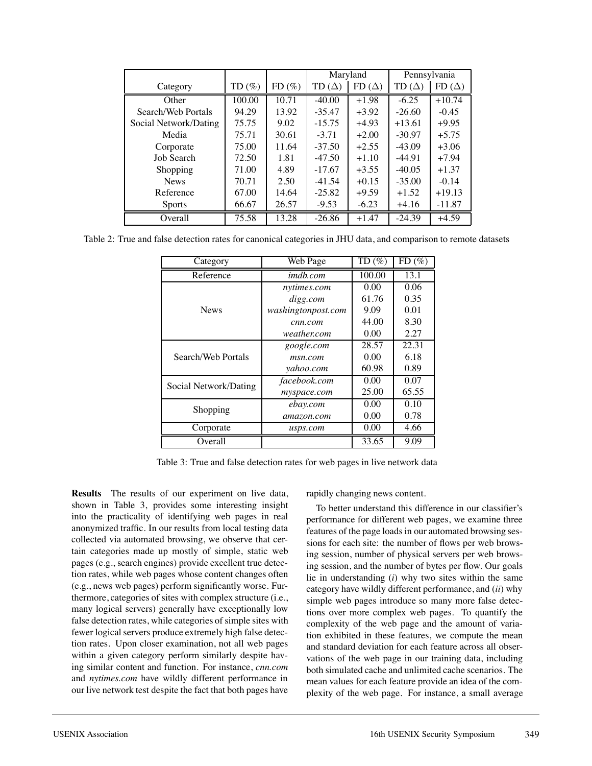|                       |          |       | Maryland        |              | Pennsylvania    |              |
|-----------------------|----------|-------|-----------------|--------------|-----------------|--------------|
| Category              | $TD(\%)$ | FD(%) | TD ( $\Delta$ ) | $FD(\Delta)$ | TD ( $\Delta$ ) | $FD(\Delta)$ |
| Other                 | 100.00   | 10.71 | $-40.00$        | $+1.98$      | $-6.25$         | $+10.74$     |
| Search/Web Portals    | 94.29    | 13.92 | $-35.47$        | $+3.92$      | $-26.60$        | $-0.45$      |
| Social Network/Dating | 75.75    | 9.02  | $-15.75$        | $+4.93$      | $+13.61$        | $+9.95$      |
| Media                 | 75.71    | 30.61 | $-3.71$         | $+2.00$      | $-30.97$        | $+5.75$      |
| Corporate             | 75.00    | 11.64 | $-37.50$        | $+2.55$      | $-43.09$        | $+3.06$      |
| Job Search            | 72.50    | 1.81  | $-47.50$        | $+1.10$      | $-44.91$        | $+7.94$      |
| Shopping              | 71.00    | 4.89  | $-17.67$        | $+3.55$      | $-40.05$        | $+1.37$      |
| <b>News</b>           | 70.71    | 2.50  | $-41.54$        | $+0.15$      | $-35.00$        | $-0.14$      |
| Reference             | 67.00    | 14.64 | $-25.82$        | $+9.59$      | $+1.52$         | $+19.13$     |
| <b>Sports</b>         | 66.67    | 26.57 | $-9.53$         | $-6.23$      | $+4.16$         | $-11.87$     |
| Overall               | 75.58    | 13.28 | $-26.86$        | $+1.47$      | $-24.39$        | $+4.59$      |

Table 2: True and false detection rates for canonical categories in JHU data, and comparison to remote datasets

| Category              | Web Page           | $TD(\%)$ | FD(%) |
|-----------------------|--------------------|----------|-------|
| Reference             | <i>imdb.com</i>    | 100.00   | 13.1  |
|                       | nytimes.com        | 0.00     | 0.06  |
|                       | digg.com           | 61.76    | 0.35  |
| <b>News</b>           | washingtonpost.com | 9.09     | 0.01  |
|                       | cnn.com            | 44.00    | 8.30  |
|                       | weather.com        | 0.00     | 2.27  |
| Search/Web Portals    | google.com         | 28.57    | 22.31 |
|                       | msn.com            | 0.00     | 6.18  |
|                       | yahoo.com          | 60.98    | 0.89  |
| Social Network/Dating | facebook.com       | 0.00     | 0.07  |
|                       | myspace.com        | 25.00    | 65.55 |
| Shopping              | ebay.com           | 0.00     | 0.10  |
|                       | amazon.com         | 0.00     | 0.78  |
| Corporate             | usps.com           | 0.00     | 4.66  |
| Overall               |                    | 33.65    | 9.09  |

Table 3: True and false detection rates for web pages in live network data

**Results** The results of our experiment on live data, shown in Table 3, provides some interesting insight into the practicality of identifying web pages in real anonymized traffic. In our results from local testing data collected via automated browsing, we observe that certain categories made up mostly of simple, static web pages (e.g., search engines) provide excellent true detection rates, while web pages whose content changes often (e.g., news web pages) perform significantly worse. Furthermore, categories of sites with complex structure (i.e., many logical servers) generally have exceptionally low false detection rates, while categories of simple sites with fewer logical servers produce extremely high false detection rates. Upon closer examination, not all web pages within a given category perform similarly despite having similar content and function. For instance, *cnn.com* and *nytimes.com* have wildly different performance in our live network test despite the fact that both pages have

rapidly changing news content.

To better understand this difference in our classifier's performance for different web pages, we examine three features of the page loads in our automated browsing sessions for each site: the number of flows per web browsing session, number of physical servers per web browsing session, and the number of bytes per flow. Our goals lie in understanding (*i*) why two sites within the same category have wildly different performance, and (*ii*) why simple web pages introduce so many more false detections over more complex web pages. To quantify the complexity of the web page and the amount of variation exhibited in these features, we compute the mean and standard deviation for each feature across all observations of the web page in our training data, including both simulated cache and unlimited cache scenarios. The mean values for each feature provide an idea of the complexity of the web page. For instance, a small average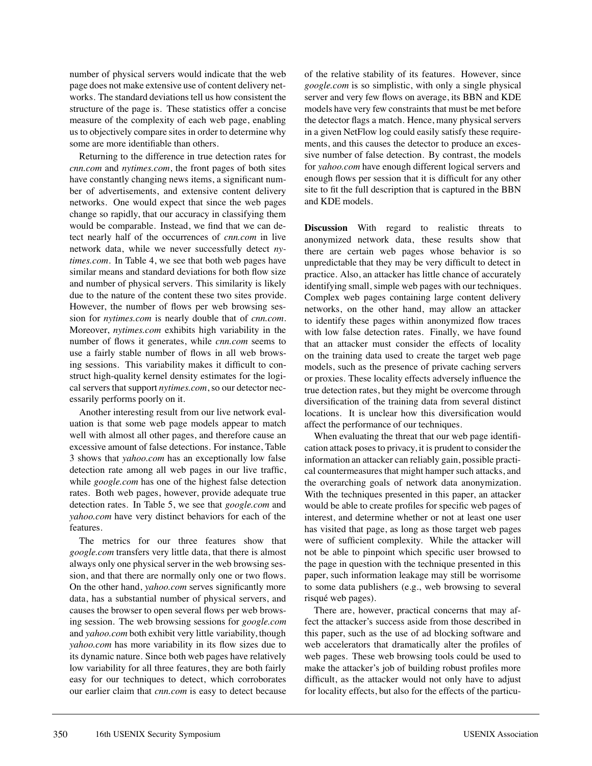number of physical servers would indicate that the web page does not make extensive use of content delivery networks. The standard deviations tell us how consistent the structure of the page is. These statistics offer a concise measure of the complexity of each web page, enabling us to objectively compare sites in order to determine why some are more identifiable than others.

Returning to the difference in true detection rates for *cnn.com* and *nytimes.com*, the front pages of both sites have constantly changing news items, a significant number of advertisements, and extensive content delivery networks. One would expect that since the web pages change so rapidly, that our accuracy in classifying them would be comparable. Instead, we find that we can detect nearly half of the occurrences of *cnn.com* in live network data, while we never successfully detect *nytimes.com*. In Table 4, we see that both web pages have similar means and standard deviations for both flow size and number of physical servers. This similarity is likely due to the nature of the content these two sites provide. However, the number of flows per web browsing session for *nytimes.com* is nearly double that of *cnn.com*. Moreover, *nytimes.com* exhibits high variability in the number of flows it generates, while *cnn.com* seems to use a fairly stable number of flows in all web browsing sessions. This variability makes it difficult to construct high-quality kernel density estimates for the logical servers that support *nytimes.com*, so our detector necessarily performs poorly on it.

Another interesting result from our live network evaluation is that some web page models appear to match well with almost all other pages, and therefore cause an excessive amount of false detections. For instance, Table 3 shows that *yahoo.com* has an exceptionally low false detection rate among all web pages in our live traffic, while *google.com* has one of the highest false detection rates. Both web pages, however, provide adequate true detection rates. In Table 5, we see that *google.com* and *yahoo.com* have very distinct behaviors for each of the features.

The metrics for our three features show that *google.com* transfers very little data, that there is almost always only one physical server in the web browsing session, and that there are normally only one or two flows. On the other hand, *yahoo.com* serves significantly more data, has a substantial number of physical servers, and causes the browser to open several flows per web browsing session. The web browsing sessions for *google.com* and *yahoo.com* both exhibit very little variability, though *yahoo.com* has more variability in its flow sizes due to its dynamic nature. Since both web pages have relatively low variability for all three features, they are both fairly easy for our techniques to detect, which corroborates our earlier claim that *cnn.com* is easy to detect because of the relative stability of its features. However, since *google.com* is so simplistic, with only a single physical server and very few flows on average, its BBN and KDE models have very few constraints that must be met before the detector flags a match. Hence, many physical servers in a given NetFlow log could easily satisfy these requirements, and this causes the detector to produce an excessive number of false detection. By contrast, the models for *yahoo.com* have enough different logical servers and enough flows per session that it is difficult for any other site to fit the full description that is captured in the BBN and KDE models.

**Discussion** With regard to realistic threats to anonymized network data, these results show that there are certain web pages whose behavior is so unpredictable that they may be very difficult to detect in practice. Also, an attacker has little chance of accurately identifying small, simple web pages with our techniques. Complex web pages containing large content delivery networks, on the other hand, may allow an attacker to identify these pages within anonymized flow traces with low false detection rates. Finally, we have found that an attacker must consider the effects of locality on the training data used to create the target web page models, such as the presence of private caching servers or proxies. These locality effects adversely influence the true detection rates, but they might be overcome through diversification of the training data from several distinct locations. It is unclear how this diversification would affect the performance of our techniques.

When evaluating the threat that our web page identification attack poses to privacy, it is prudent to consider the information an attacker can reliably gain, possible practical countermeasures that might hamper such attacks, and the overarching goals of network data anonymization. With the techniques presented in this paper, an attacker would be able to create profiles for specific web pages of interest, and determine whether or not at least one user has visited that page, as long as those target web pages were of sufficient complexity. While the attacker will not be able to pinpoint which specific user browsed to the page in question with the technique presented in this paper, such information leakage may still be worrisome to some data publishers (e.g., web browsing to several risqué web pages).

There are, however, practical concerns that may affect the attacker's success aside from those described in this paper, such as the use of ad blocking software and web accelerators that dramatically alter the profiles of web pages. These web browsing tools could be used to make the attacker's job of building robust profiles more difficult, as the attacker would not only have to adjust for locality effects, but also for the effects of the particu-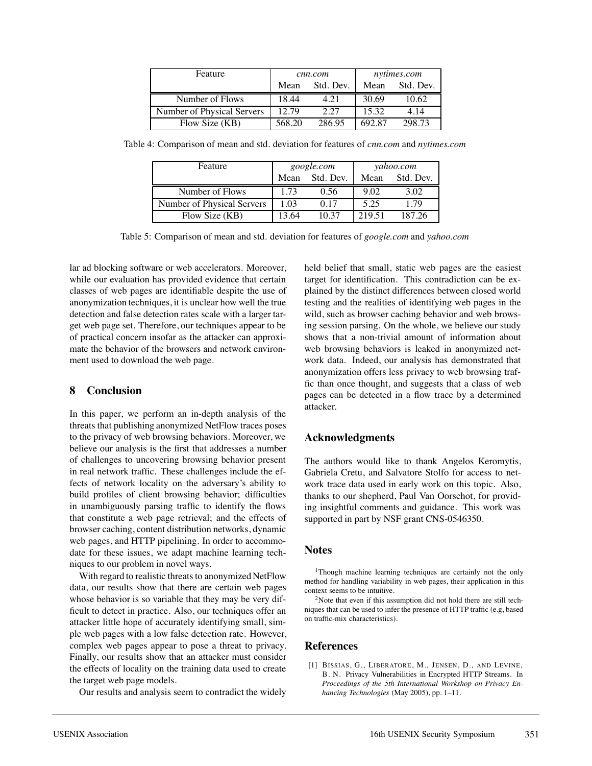| Feature                    | cnn.com |           | nytimes.com |           |
|----------------------------|---------|-----------|-------------|-----------|
|                            | Mean    | Std. Dev. | Mean        | Std. Dev. |
| Number of Flows            | 18.44   | 4.21      | 30.69       | 10.62     |
| Number of Physical Servers | 12.79   | 2.27      | 15.32       | 4.14      |
| Flow Size (KB)             | 568.20  | 286.95    | 692.87      | 298.73    |

Table 4: Comparison of mean and std. deviation for features of *cnn.com* and *nytimes.com*

| Feature                    | google.com |                | yahoo.com |           |
|----------------------------|------------|----------------|-----------|-----------|
|                            |            | Mean Std. Dev. | Mean      | Std. Dev. |
| Number of Flows            | 1.73       | 0.56           | 9.02      | 3.02      |
| Number of Physical Servers | 1.03       | 0.17           | 5.25      | 1.79      |
| Flow Size (KB)             | 13.64      | 10.37          | 219.51    | 187.26    |

Table 5: Comparison of mean and std. deviation for features of *google.com* and *yahoo.com*

lar ad blocking software or web accelerators. Moreover, while our evaluation has provided evidence that certain classes of web pages are identifiable despite the use of anonymization techniques, it is unclear how well the true detection and false detection rates scale with a larger target web page set. Therefore, our techniques appear to be of practical concern insofar as the attacker can approximate the behavior of the browsers and network environment used to download the web page.

#### **8 Conclusion**

In this paper, we perform an in-depth analysis of the threats that publishing anonymized NetFlow traces poses to the privacy of web browsing behaviors. Moreover, we believe our analysis is the first that addresses a number of challenges to uncovering browsing behavior present in real network traffic. These challenges include the effects of network locality on the adversary's ability to build profiles of client browsing behavior; difficulties in unambiguously parsing traffic to identify the flows that constitute a web page retrieval; and the effects of browser caching, content distribution networks, dynamic web pages, and HTTP pipelining. In order to accommodate for these issues, we adapt machine learning techniques to our problem in novel ways.

With regard to realistic threats to anonymized NetFlow data, our results show that there are certain web pages whose behavior is so variable that they may be very difficult to detect in practice. Also, our techniques offer an attacker little hope of accurately identifying small, simple web pages with a low false detection rate. However, complex web pages appear to pose a threat to privacy. Finally, our results show that an attacker must consider the effects of locality on the training data used to create the target web page models.

Our results and analysis seem to contradict the widely

held belief that small, static web pages are the easiest target for identification. This contradiction can be explained by the distinct differences between closed world testing and the realities of identifying web pages in the wild, such as browser caching behavior and web browsing session parsing. On the whole, we believe our study shows that a non-trivial amount of information about web browsing behaviors is leaked in anonymized network data. Indeed, our analysis has demonstrated that anonymization offers less privacy to web browsing traffic than once thought, and suggests that a class of web pages can be detected in a flow trace by a determined attacker.

#### **Acknowledgments**

The authors would like to thank Angelos Keromytis, Gabriela Cretu, and Salvatore Stolfo for access to network trace data used in early work on this topic. Also, thanks to our shepherd, Paul Van Oorschot, for providing insightful comments and guidance. This work was supported in part by NSF grant CNS-0546350.

#### **Notes**

1Though machine learning techniques are certainly not the only method for handling variability in web pages, their application in this context seems to be intuitive.

 $2$ Note that even if this assumption did not hold there are still techniques that can be used to infer the presence of HTTP traffic (e.g, based on traffic-mix characteristics).

#### **References**

[1] BISSIAS, G., LIBERATORE, M., JENSEN, D., AND LEVINE, B. N. Privacy Vulnerabilities in Encrypted HTTP Streams. In *Proceedings of the 5th International Workshop on Privacy Enhancing Technologies* (May 2005), pp. 1–11.